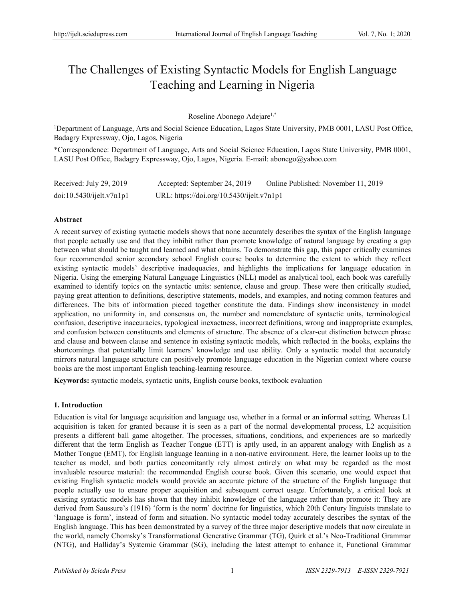# The Challenges of Existing Syntactic Models for English Language Teaching and Learning in Nigeria

## Roseline Abonego Adejare1,\*

<sup>1</sup>Department of Language, Arts and Social Science Education, Lagos State University, PMB 0001, LASU Post Office, Badagry Expressway, Ojo, Lagos, Nigeria

\*Correspondence: Department of Language, Arts and Social Science Education, Lagos State University, PMB 0001, LASU Post Office, Badagry Expressway, Ojo, Lagos, Nigeria. E-mail: abonego@yahoo.com

| Received: July 29, 2019 | Accepted: September 24, 2019              | Online Published: November 11, 2019 |
|-------------------------|-------------------------------------------|-------------------------------------|
| doi:10.5430/ijkl.v7n1p1 | URL: https://doi.org/10.5430/ijelt.v7n1p1 |                                     |

## **Abstract**

A recent survey of existing syntactic models shows that none accurately describes the syntax of the English language that people actually use and that they inhibit rather than promote knowledge of natural language by creating a gap between what should be taught and learned and what obtains. To demonstrate this gap, this paper critically examines four recommended senior secondary school English course books to determine the extent to which they reflect existing syntactic models' descriptive inadequacies, and highlights the implications for language education in Nigeria. Using the emerging Natural Language Linguistics (NLL) model as analytical tool, each book was carefully examined to identify topics on the syntactic units: sentence, clause and group. These were then critically studied, paying great attention to definitions, descriptive statements, models, and examples, and noting common features and differences. The bits of information pieced together constitute the data. Findings show inconsistency in model application, no uniformity in, and consensus on, the number and nomenclature of syntactic units, terminological confusion, descriptive inaccuracies, typological inexactness, incorrect definitions, wrong and inappropriate examples, and confusion between constituents and elements of structure. The absence of a clear-cut distinction between phrase and clause and between clause and sentence in existing syntactic models, which reflected in the books, explains the shortcomings that potentially limit learners' knowledge and use ability. Only a syntactic model that accurately mirrors natural language structure can positively promote language education in the Nigerian context where course books are the most important English teaching-learning resource.

**Keywords:** syntactic models, syntactic units, English course books, textbook evaluation

# **1. Introduction**

Education is vital for language acquisition and language use, whether in a formal or an informal setting. Whereas L1 acquisition is taken for granted because it is seen as a part of the normal developmental process, L2 acquisition presents a different ball game altogether. The processes, situations, conditions, and experiences are so markedly different that the term English as Teacher Tongue (ETT) is aptly used, in an apparent analogy with English as a Mother Tongue (EMT), for English language learning in a non-native environment. Here, the learner looks up to the teacher as model, and both parties concomitantly rely almost entirely on what may be regarded as the most invaluable resource material: the recommended English course book. Given this scenario, one would expect that existing English syntactic models would provide an accurate picture of the structure of the English language that people actually use to ensure proper acquisition and subsequent correct usage. Unfortunately, a critical look at existing syntactic models has shown that they inhibit knowledge of the language rather than promote it: They are derived from Saussure's (1916) 'form is the norm' doctrine for linguistics, which 20th Century linguists translate to 'language is form', instead of form and situation. No syntactic model today accurately describes the syntax of the English language. This has been demonstrated by a survey of the three major descriptive models that now circulate in the world, namely Chomsky's Transformational Generative Grammar (TG), Quirk et al.'s Neo-Traditional Grammar (NTG), and Halliday's Systemic Grammar (SG), including the latest attempt to enhance it, Functional Grammar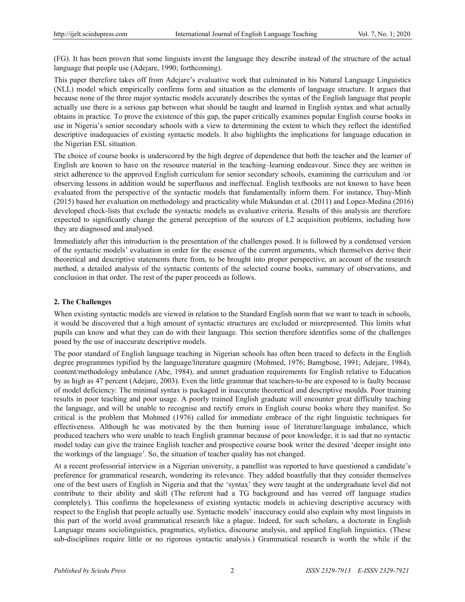(FG). It has been proven that some linguists invent the language they describe instead of the structure of the actual language that people use (Adejare, 1990; forthcoming).

This paper therefore takes off from Adejare's evaluative work that culminated in his Natural Language Linguistics (NLL) model which empirically confirms form and situation as the elements of language structure. It argues that because none of the three major syntactic models accurately describes the syntax of the English language that people actually use there is a serious gap between what should be taught and learned in English syntax and what actually obtains in practice. To prove the existence of this gap, the paper critically examines popular English course books in use in Nigeria's senior secondary schools with a view to determining the extent to which they reflect the identified descriptive inadequacies of existing syntactic models. It also highlights the implications for language education in the Nigerian ESL situation.

The choice of course books is underscored by the high degree of dependence that both the teacher and the learner of English are known to have on the resource material in the teaching–learning endeavour. Since they are written in strict adherence to the approved English curriculum for senior secondary schools, examining the curriculum and /or observing lessons in addition would be superfluous and ineffectual. English textbooks are not known to have been evaluated from the perspective of the syntactic models that fundamentally inform them. For instance, Thuy-Minh (2015) based her evaluation on methodology and practicality while Mukundan et al. (2011) and Lopez-Medina (2016) developed check-lists that exclude the syntactic models as evaluative criteria. Results of this analysis are therefore expected to significantly change the general perception of the sources of L2 acquisition problems, including how they are diagnosed and analysed.

Immediately after this introduction is the presentation of the challenges posed. It is followed by a condensed version of the syntactic models' evaluation in order for the essence of the current arguments, which themselves derive their theoretical and descriptive statements there from, to be brought into proper perspective, an account of the research method, a detailed analysis of the syntactic contents of the selected course books, summary of observations, and conclusion in that order. The rest of the paper proceeds as follows.

## **2. The Challenges**

When existing syntactic models are viewed in relation to the Standard English norm that we want to teach in schools, it would be discovered that a high amount of syntactic structures are excluded or misrepresented. This limits what pupils can know and what they can do with their language. This section therefore identifies some of the challenges posed by the use of inaccurate descriptive models.

The poor standard of English language teaching in Nigerian schools has often been traced to defects in the English degree programmes typified by the language/literature quagmire (Mohmed, 1976; Bamgbose, 1991; Adejare, 1984), content/methodology imbalance (Abe, 1984), and unmet graduation requirements for English relative to Education by as high as 47 percent (Adejare, 2003). Even the little grammar that teachers-to-be are exposed to is faulty because of model deficiency: The minimal syntax is packaged in inaccurate theoretical and descriptive moulds. Poor training results in poor teaching and poor usage. A poorly trained English graduate will encounter great difficulty teaching the language, and will be unable to recognise and rectify errors in English course books where they manifest. So critical is the problem that Mohmed (1976) called for immediate embrace of the right linguistic techniques for effectiveness. Although he was motivated by the then burning issue of literature/language imbalance, which produced teachers who were unable to teach English grammar because of poor knowledge, it is sad that no syntactic model today can give the trainee English teacher and prospective course book writer the desired 'deeper insight into the workings of the language'. So, the situation of teacher quality has not changed.

At a recent professorial interview in a Nigerian university, a panellist was reported to have questioned a candidate's preference for grammatical research, wondering its relevance. They added boastfully that they consider themselves one of the best users of English in Nigeria and that the 'syntax' they were taught at the undergraduate level did not contribute to their ability and skill (The referent had a TG background and has veered off language studies completely). This confirms the hopelessness of existing syntactic models in achieving descriptive accuracy with respect to the English that people actually use. Syntactic models' inaccuracy could also explain why most linguists in this part of the world avoid grammatical research like a plague. Indeed, for such scholars, a doctorate in English Language means sociolinguistics, pragmatics, stylistics, discourse analysis, and applied English linguistics. (These sub-disciplines require little or no rigorous syntactic analysis.) Grammatical research is worth the while if the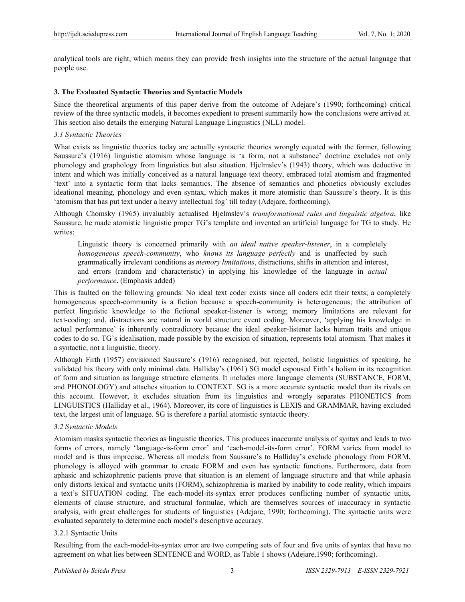analytical tools are right, which means they can provide fresh insights into the structure of the actual language that people use.

#### **3. The Evaluated Syntactic Theories and Syntactic Models**

Since the theoretical arguments of this paper derive from the outcome of Adejare's (1990; forthcoming) critical review of the three syntactic models, it becomes expedient to present summarily how the conclusions were arrived at. This section also details the emerging Natural Language Linguistics (NLL) model.

## *3.1 Syntactic Theories*

What exists as linguistic theories today are actually syntactic theories wrongly equated with the former, following Saussure's (1916) linguistic atomism whose language is 'a form, not a substance' doctrine excludes not only phonology and graphology from linguistics but also situation. Hjelmslev's (1943) theory, which was deductive in intent and which was initially conceived as a natural language text theory, embraced total atomism and fragmented 'text' into a syntactic form that lacks semantics. The absence of semantics and phonetics obviously excludes ideational meaning, phonology and even syntax, which makes it more atomistic than Saussure's theory. It is this 'atomism that has put text under a heavy intellectual fog' till today (Adejare, forthcoming).

Although Chomsky (1965) invaluably actualised Hjelmslev's *transformational rules and linguistic algebra*, like Saussure, he made atomistic linguistic proper TG's template and invented an artificial language for TG to study. He writes:

Linguistic theory is concerned primarily with *an ideal native speaker-listener*, in a completely *homogeneous speech-community*, who *knows its language perfectly* and is unaffected by such grammatically irrelevant conditions as *memory limitations*, distractions, shifts in attention and interest, and errors (random and characteristic) in applying his knowledge of the language in *actual performance***.** (Emphasis added)

This is faulted on the following grounds: No ideal text coder exists since all coders edit their texts; a completely homogeneous speech-community is a fiction because a speech-community is heterogeneous; the attribution of perfect linguistic knowledge to the fictional speaker-listener is wrong; memory limitations are relevant for text-coding; and, distractions are natural in world structure event coding. Moreover, 'applying his knowledge in actual performance' is inherently contradictory because the ideal speaker-listener lacks human traits and unique codes to do so. TG's idealisation, made possible by the excision of situation, represents total atomism. That makes it a syntactic, not a linguistic, theory.

Although Firth (1957) envisioned Saussure's (1916) recognised, but rejected, holistic linguistics of speaking, he validated his theory with only minimal data. Halliday's (1961) SG model espoused Firth's holism in its recognition of form and situation as language structure elements. It includes more language elements (SUBSTANCE, FORM, and PHONOLOGY) and attaches situation to CONTEXT. SG is a more accurate syntactic model than its rivals on this account. However, it excludes situation from its linguistics and wrongly separates PHONETICS from LINGUISTICS (Halliday et al., 1964). Moreover, its core of linguistics is LEXIS and GRAMMAR, having excluded text, the largest unit of language. SG is therefore a partial atomistic syntactic theory.

#### *3.2 Syntactic Models*

Atomism masks syntactic theories as linguistic theories. This produces inaccurate analysis of syntax and leads to two forms of errors, namely 'language-is-form error' and 'each-model-its-form error'. FORM varies from model to model and is thus imprecise. Whereas all models from Saussure's to Halliday's exclude phonology from FORM, phonology is alloyed with grammar to create FORM and even has syntactic functions. Furthermore, data from aphasic and schizophrenic patients prove that situation is an element of language structure and that while aphasia only distorts lexical and syntactic units (FORM), schizophrenia is marked by inability to code reality, which impairs a text's SITUATION coding. The each-model-its-syntax error produces conflicting number of syntactic units, elements of clause structure, and structural formulae, which are themselves sources of inaccuracy in syntactic analysis, with great challenges for students of linguistics (Adejare, 1990; forthcoming). The syntactic units were evaluated separately to determine each model's descriptive accuracy.

#### 3.2.1 Syntactic Units

Resulting from the each-model-its-syntax error are two competing sets of four and five units of syntax that have no agreement on what lies between SENTENCE and WORD, as Table 1 shows (Adejare,1990; forthcoming).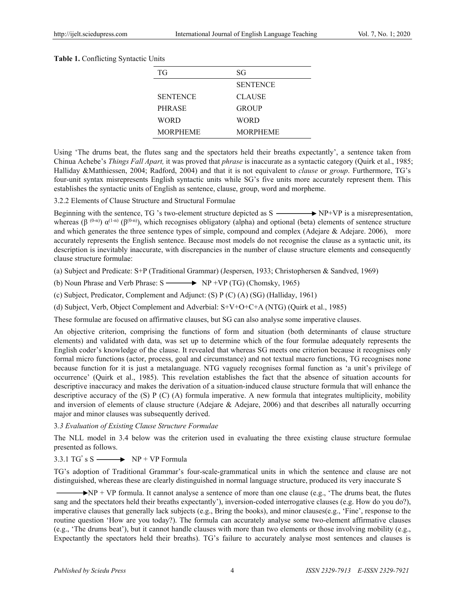| Table 1. Conflicting Syntactic Units |  |
|--------------------------------------|--|
|--------------------------------------|--|

| ТG              | SG              |
|-----------------|-----------------|
|                 | <b>SENTENCE</b> |
| <b>SENTENCE</b> | <b>CLAUSE</b>   |
| <b>PHRASE</b>   | <b>GROUP</b>    |
| WORD            | <b>WORD</b>     |
| <b>MORPHEME</b> | <b>MORPHEME</b> |

Using 'The drums beat, the flutes sang and the spectators held their breaths expectantly', a sentence taken from Chinua Achebe's *Things Fall Apart,* it was proved that *phrase* is inaccurate as a syntactic category (Quirk et al., 1985; Halliday &Matthiessen, 2004; Radford, 2004) and that it is not equivalent to *clause* or *group*. Furthermore, TG's four-unit syntax misrepresents English syntactic units while SG's five units more accurately represent them. This establishes the syntactic units of English as sentence, clause, group, word and morpheme.

3.2.2 Elements of Clause Structure and Structural Formulae

Beginning with the sentence, TG 's two-element structure depicted as  $S \longrightarrow NP+VP$  is a misrepresentation, whereas ( $\beta^{(0-n)}$ )  $\alpha^{(1-n)}$  ( $\beta^{(0-n)}$ ), which recognises obligatory (alpha) and optional (beta) elements of sentence structure and which generates the three sentence types of simple, compound and complex (Adejare & Adejare. 2006), more accurately represents the English sentence. Because most models do not recognise the clause as a syntactic unit, its description is inevitably inaccurate, with discrepancies in the number of clause structure elements and consequently clause structure formulae:

(a) Subject and Predicate: S+P (Traditional Grammar) (Jespersen, 1933; Christophersen & Sandved, 1969)

(b) Noun Phrase and Verb Phrase:  $S \longrightarrow NP + VP (TG)$  (Chomsky, 1965)

(c) Subject, Predicator, Complement and Adjunct: (S) P (C) (A) (SG) (Halliday, 1961)

(d) Subject, Verb, Object Complement and Adverbial: S+V+O+C+A (NTG) (Quirk et al., 1985)

These formulae are focused on affirmative clauses, but SG can also analyse some imperative clauses.

An objective criterion, comprising the functions of form and situation (both determinants of clause structure elements) and validated with data, was set up to determine which of the four formulae adequately represents the English coder's knowledge of the clause. It revealed that whereas SG meets one criterion because it recognises only formal micro functions (actor, process, goal and circumstance) and not textual macro functions, TG recognises none because function for it is just a metalanguage. NTG vaguely recognises formal function as 'a unit's privilege of occurrence' (Quirk et al., 1985). This revelation establishes the fact that the absence of situation accounts for descriptive inaccuracy and makes the derivation of a situation-induced clause structure formula that will enhance the descriptive accuracy of the (S) P (C) (A) formula imperative. A new formula that integrates multiplicity, mobility and inversion of elements of clause structure (Adejare  $\&$  Adejare, 2006) and that describes all naturally occurring major and minor clauses was subsequently derived.

3*.3 Evaluation of Existing Clause Structure Formulae* 

The NLL model in 3.4 below was the criterion used in evaluating the three existing clause structure formulae presented as follows.

## $3.3.1$  TG's S  $\longrightarrow$  NP + VP Formula

TG's adoption of Traditional Grammar's four-scale-grammatical units in which the sentence and clause are not distinguished, whereas these are clearly distinguished in normal language structure, produced its very inaccurate S

 $\rightarrow$  NP + VP formula. It cannot analyse a sentence of more than one clause (e.g., 'The drums beat, the flutes sang and the spectators held their breaths expectantly'), inversion-coded interrogative clauses (e.g. How do you do?), imperative clauses that generally lack subjects (e.g., Bring the books), and minor clauses(e.g., 'Fine', response to the routine question 'How are you today?). The formula can accurately analyse some two-element affirmative clauses (e.g., 'The drums beat'), but it cannot handle clauses with more than two elements or those involving mobility (e.g., Expectantly the spectators held their breaths). TG's failure to accurately analyse most sentences and clauses is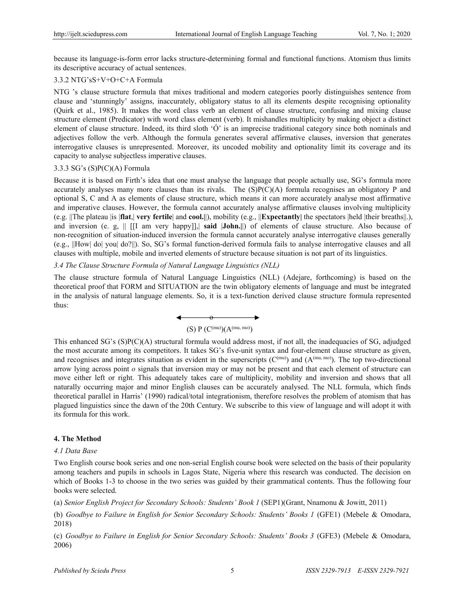because its language-is-form error lacks structure-determining formal and functional functions. Atomism thus limits its descriptive accuracy of actual sentences.

## 3.3.2 NTG'sS+V+O+C+A Formula

NTG 's clause structure formula that mixes traditional and modern categories poorly distinguishes sentence from clause and 'stunningly' assigns, inaccurately, obligatory status to all its elements despite recognising optionality (Quirk et al., 1985). It makes the word class verb an element of clause structure, confusing and mixing clause structure element (Predicator) with word class element (verb). It mishandles multiplicity by making object a distinct element of clause structure. Indeed, its third sloth 'Ó' is an imprecise traditional category since both nominals and adjectives follow the verb. Although the formula generates several affirmative clauses, inversion that generates interrogative clauses is unrepresented. Moreover, its uncoded mobility and optionality limit its coverage and its capacity to analyse subjectless imperative clauses.

#### 3.3.3 SG's (S)P(C)(A) Formula

Because it is based on Firth's idea that one must analyse the language that people actually use, SG's formula more accurately analyses many more clauses than its rivals. The (S)P(C)(A) formula recognises an obligatory P and optional S, C and A as elements of clause structure, which means it can more accurately analyse most affirmative and imperative clauses. However, the formula cannot accurately analyse affirmative clauses involving multiplicity (e.g. ||The plateau |is |**flat**,| **very fertile**| and **cool.|**|), mobility (e.g., ||**Expectantly|** the spectators |held |their breaths||.), and inversion (e. g, || [[I am very happy]],| **said** |**John.|**|) of elements of clause structure. Also because of non-recognition of situation-induced inversion the formula cannot accurately analyse interrogative clauses generally (e.g., ||How| do| you| do?||). So, SG's formal function-derived formula fails to analyse interrogative clauses and all clauses with multiple, mobile and inverted elements of structure because situation is not part of its linguistics.

## *3.4 The Clause Structure Formula of Natural Language Linguistics (NLL)*

The clause structure formula of Natural Language Linguistics (NLL) (Adejare, forthcoming) is based on the theoretical proof that FORM and SITUATION are the twin obligatory elements of language and must be integrated in the analysis of natural language elements. So, it is a text-function derived clause structure formula represented thus:

$$
\longleftrightarrow
$$
 (S) P (C<sup>(mu)</sup>)(A<sup>(mu, mo)</sup>)

This enhanced SG's (S)P(C)(A) structural formula would address most, if not all, the inadequacies of SG, adjudged the most accurate among its competitors. It takes SG's five-unit syntax and four-element clause structure as given, and recognises and integrates situation as evident in the superscripts  $(C^{(mu)})$  and  $(A^{(mu, mo)})$ . The top two-directional arrow lying across point *o* signals that inversion may or may not be present and that each element of structure can move either left or right. This adequately takes care of multiplicity, mobility and inversion and shows that all naturally occurring major and minor English clauses can be accurately analysed. The NLL formula, which finds theoretical parallel in Harris' (1990) radical/total integrationism, therefore resolves the problem of atomism that has plagued linguistics since the dawn of the 20th Century. We subscribe to this view of language and will adopt it with its formula for this work.

## **4. The Method**

#### *4.1 Data Base*

Two English course book series and one non-serial English course book were selected on the basis of their popularity among teachers and pupils in schools in Lagos State, Nigeria where this research was conducted. The decision on which of Books 1-3 to choose in the two series was guided by their grammatical contents. Thus the following four books were selected.

(a) *Senior English Project for Secondary Schools: Students' Book 1* (SEP1)(Grant, Nnamonu & Jowitt, 2011)

(b) *Goodbye to Failure in English for Senior Secondary Schools: Students' Books 1* (GFE1) (Mebele & Omodara, 2018)

(c) *Goodbye to Failure in English for Senior Secondary Schools: Students' Books 3* (GFE3) (Mebele & Omodara, 2006)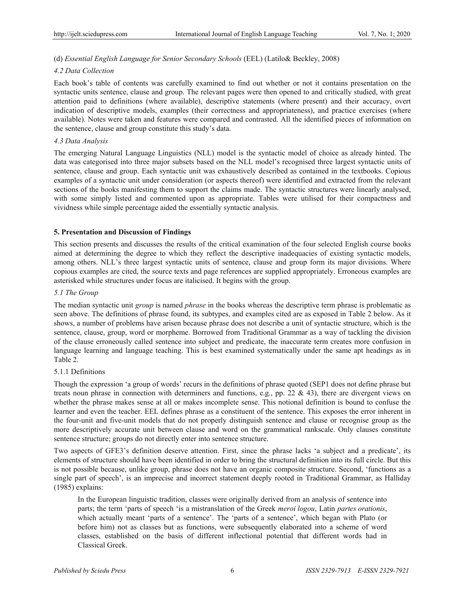## (d) *Essential English Language for Senior Secondary Schools* (EEL) (Latilo& Beckley, 2008)

## *4.2 Data Collection*

Each book's table of contents was carefully examined to find out whether or not it contains presentation on the syntactic units sentence, clause and group. The relevant pages were then opened to and critically studied, with great attention paid to definitions (where available), descriptive statements (where present) and their accuracy, overt indication of descriptive models, examples (their correctness and appropriateness), and practice exercises (where available). Notes were taken and features were compared and contrasted. All the identified pieces of information on the sentence, clause and group constitute this study's data.

## *4.3 Data Analysis*

The emerging Natural Language Linguistics (NLL) model is the syntactic model of choice as already hinted. The data was categorised into three major subsets based on the NLL model's recognised three largest syntactic units of sentence, clause and group. Each syntactic unit was exhaustively described as contained in the textbooks. Copious examples of a syntactic unit under consideration (or aspects thereof) were identified and extracted from the relevant sections of the books manifesting them to support the claims made. The syntactic structures were linearly analysed, with some simply listed and commented upon as appropriate. Tables were utilised for their compactness and vividness while simple percentage aided the essentially syntactic analysis.

## **5. Presentation and Discussion of Findings**

This section presents and discusses the results of the critical examination of the four selected English course books aimed at determining the degree to which they reflect the descriptive inadequacies of existing syntactic models, among others. NLL's three largest syntactic units of sentence, clause and group form its major divisions. Where copious examples are cited, the source texts and page references are supplied appropriately. Erroneous examples are asterisked while structures under focus are italicised. It begins with the group.

## *5.1 The Group*

The median syntactic unit *group* is named *phrase* in the books whereas the descriptive term phrase is problematic as seen above. The definitions of phrase found, its subtypes, and examples cited are as exposed in Table 2 below. As it shows, a number of problems have arisen because phrase does not describe a unit of syntactic structure, which is the sentence, clause, group, word or morpheme. Borrowed from Traditional Grammar as a way of tackling the division of the clause erroneously called sentence into subject and predicate, the inaccurate term creates more confusion in language learning and language teaching. This is best examined systematically under the same apt headings as in Table 2.

## 5.1.1 Definitions

Though the expression 'a group of words' recurs in the definitions of phrase quoted (SEP1 does not define phrase but treats noun phrase in connection with determiners and functions, e.g., pp. 22 & 43), there are divergent views on whether the phrase makes sense at all or makes incomplete sense. This notional definition is bound to confuse the learner and even the teacher. EEL defines phrase as a constituent of the sentence. This exposes the error inherent in the four-unit and five-unit models that do not properly distinguish sentence and clause or recognise group as the more descriptively accurate unit between clause and word on the grammatical rankscale. Only clauses constitute sentence structure; groups do not directly enter into sentence structure.

Two aspects of GFE3's definition deserve attention. First, since the phrase lacks 'a subject and a predicate', its elements of structure should have been identified in order to bring the structural definition into its full circle. But this is not possible because, unlike group, phrase does not have an organic composite structure. Second, 'functions as a single part of speech', is an imprecise and incorrect statement deeply rooted in Traditional Grammar, as Halliday (1985) explains:

In the European linguistic tradition, classes were originally derived from an analysis of sentence into parts; the term 'parts of speech 'is a mistranslation of the Greek *meroi logou*, Latin *partes orationis*, which actually meant 'parts of a sentence'. The 'parts of a sentence', which began with Plato (or before him) not as classes but as functions, were subsequently elaborated into a scheme of word classes, established on the basis of different inflectional potential that different words had in Classical Greek.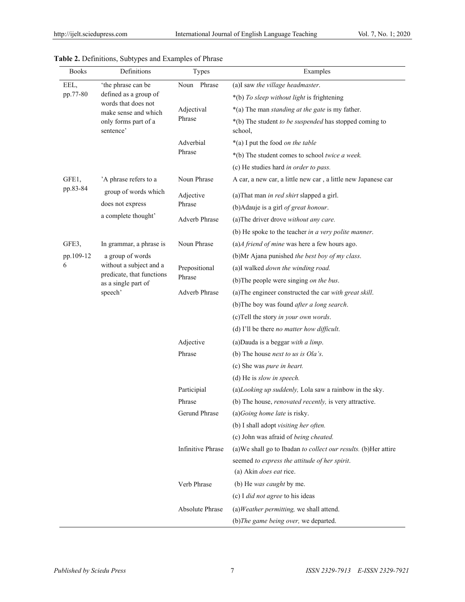| <b>Books</b> | Definitions                                                 | Types             | Examples                                                          |
|--------------|-------------------------------------------------------------|-------------------|-------------------------------------------------------------------|
| EEL,         | 'the phrase can be                                          | Noun Phrase       | (a)I saw the village headmaster.                                  |
| pp.77-80     | defined as a group of                                       |                   | *(b) To sleep without light is frightening                        |
|              | words that does not<br>make sense and which                 | Adjectival        | *(a) The man standing at the gate is my father.                   |
|              | only forms part of a<br>sentence'                           | Phrase            | *(b) The student to be suspended has stopped coming to<br>school, |
|              |                                                             | Adverbial         | *(a) I put the food on the table                                  |
|              |                                                             | Phrase            | *(b) The student comes to school twice a week.                    |
|              |                                                             |                   | (c) He studies hard in order to pass.                             |
| GFE1,        | 'A phrase refers to a                                       | Noun Phrase       | A car, a new car, a little new car, a little new Japanese car     |
| pp.83-84     | group of words which                                        | Adjective         | (a) That man in red shirt slapped a girl.                         |
|              | does not express                                            | Phrase            | (b) Adauje is a girl of great honour.                             |
|              | a complete thought'                                         | Adverb Phrase     | (a) The driver drove without any care.                            |
|              |                                                             |                   | (b) He spoke to the teacher in a very polite manner.              |
| GFE3,        | In grammar, a phrase is                                     | Noun Phrase       | $(a)$ A friend of mine was here a few hours ago.                  |
| pp.109-12    | a group of words                                            |                   | (b)Mr Ajana punished the best boy of my class.                    |
| 6            | without a subject and a                                     | Prepositional     | (a)I walked down the winding road.                                |
|              | predicate, that functions<br>as a single part of<br>speech' | Phrase            | (b) The people were singing on the bus.                           |
|              |                                                             | Adverb Phrase     | (a) The engineer constructed the car with great skill.            |
|              |                                                             |                   | (b)The boy was found after a long search.                         |
|              |                                                             |                   | (c)Tell the story in your own words.                              |
|              |                                                             |                   | (d) I'll be there <i>no matter how difficult</i> .                |
|              |                                                             | Adjective         | (a) Dauda is a beggar with a limp.                                |
|              |                                                             | Phrase            | (b) The house <i>next to us is Ola's</i> .                        |
|              |                                                             |                   | (c) She was pure in heart.                                        |
|              |                                                             |                   | (d) He is slow in speech.                                         |
|              |                                                             | Participial       | (a)Looking up suddenly, Lola saw a rainbow in the sky.            |
|              |                                                             | Phrase            | (b) The house, <i>renovated recently</i> , is very attractive.    |
|              |                                                             | Gerund Phrase     | $(a) Going home late$ is risky.                                   |
|              |                                                             |                   | (b) I shall adopt visiting her often.                             |
|              |                                                             |                   | (c) John was afraid of being cheated.                             |
|              |                                                             | Infinitive Phrase | (a) We shall go to Ibadan to collect our results. (b) Her attire  |
|              |                                                             |                   | seemed to express the attitude of her spirit.                     |
|              |                                                             |                   | (a) Akin <i>does eat</i> rice.                                    |
|              |                                                             | Verb Phrase       | (b) He was caught by me.                                          |
|              |                                                             |                   | (c) I <i>did not agree</i> to his ideas                           |
|              |                                                             | Absolute Phrase   | $(a) Weather permitting, we shall attend.$                        |
|              |                                                             |                   | (b) The game being over, we departed.                             |

|  |  | Table 2. Definitions, Subtypes and Examples of Phrase |
|--|--|-------------------------------------------------------|
|--|--|-------------------------------------------------------|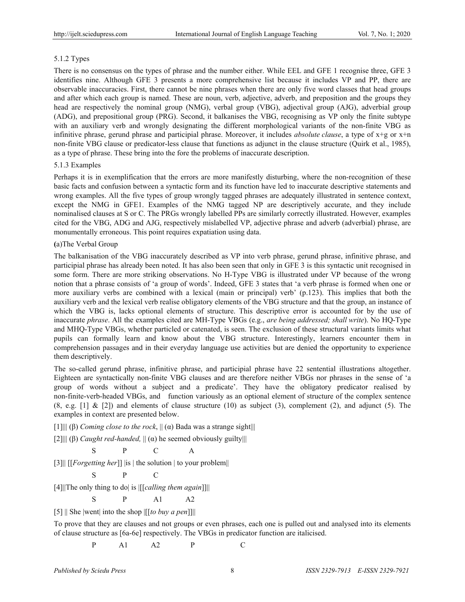## 5.1.2 Types

There is no consensus on the types of phrase and the number either. While EEL and GFE 1 recognise three, GFE 3 identifies nine. Although GFE 3 presents a more comprehensive list because it includes VP and PP, there are observable inaccuracies. First, there cannot be nine phrases when there are only five word classes that head groups and after which each group is named. These are noun, verb, adjective, adverb, and preposition and the groups they head are respectively the nominal group (NMG), verbal group (VBG), adjectival group (AJG), adverbial group (ADG), and prepositional group (PRG). Second, it balkanises the VBG, recognising as VP only the finite subtype with an auxiliary verb and wrongly designating the different morphological variants of the non-finite VBG as infinitive phrase, gerund phrase and participial phrase. Moreover, it includes *absolute clause*, a type of x+g or x+n non-finite VBG clause or predicator-less clause that functions as adjunct in the clause structure (Quirk et al., 1985), as a type of phrase. These bring into the fore the problems of inaccurate description.

#### 5.1.3 Examples

Perhaps it is in exemplification that the errors are more manifestly disturbing, where the non-recognition of these basic facts and confusion between a syntactic form and its function have led to inaccurate descriptive statements and wrong examples. All the five types of group wrongly tagged phrases are adequately illustrated in sentence context, except the NMG in GFE1. Examples of the NMG tagged NP are descriptively accurate, and they include nominalised clauses at S or C. The PRGs wrongly labelled PPs are similarly correctly illustrated. However, examples cited for the VBG, ADG and AJG, respectively mislabelled VP, adjective phrase and adverb (adverbial) phrase, are monumentally erroneous. This point requires expatiation using data.

#### **(**a)The Verbal Group

The balkanisation of the VBG inaccurately described as VP into verb phrase, gerund phrase, infinitive phrase, and participial phrase has already been noted. It has also been seen that only in GFE 3 is this syntactic unit recognised in some form. There are more striking observations. No H-Type VBG is illustrated under VP because of the wrong notion that a phrase consists of 'a group of words'. Indeed, GFE 3 states that 'a verb phrase is formed when one or more auxiliary verbs are combined with a lexical (main or principal) verb' (p.123). This implies that both the auxiliary verb and the lexical verb realise obligatory elements of the VBG structure and that the group, an instance of which the VBG is, lacks optional elements of structure. This descriptive error is accounted for by the use of inaccurate *phrase*. All the examples cited are MH-Type VBGs (e.g., *are being addressed; shall write*). No HQ-Type and MHQ-Type VBGs, whether particled or catenated, is seen. The exclusion of these structural variants limits what pupils can formally learn and know about the VBG structure. Interestingly, learners encounter them in comprehension passages and in their everyday language use activities but are denied the opportunity to experience them descriptively.

The so-called gerund phrase, infinitive phrase, and participial phrase have 22 sentential illustrations altogether. Eighteen are syntactically non-finite VBG clauses and are therefore neither VBGs nor phrases in the sense of 'a group of words without a subject and a predicate'. They have the obligatory predicator realised by non-finite-verb-headed VBGs, and function variously as an optional element of structure of the complex sentence  $(8, e.g. [1] & [2])$  and elements of clause structure  $(10)$  as subject  $(3)$ , complement  $(2)$ , and adjunct  $(5)$ . The examples in context are presented below.

[1]||| (β) *Coming close to the rock*, || (α) Bada was a strange sight|||

[2]||| (β) *Caught red-handed,* || (α) he seemed obviously guilty|||

$$
\begin{matrix} S & P & C & A \end{matrix}
$$

[3]|| [[*Forgetting her*]] |is | the solution | to your problem||

$$
\begin{array}{ccc}\nS & P & C\n\end{array}
$$

[4]||The only thing to do| is |[[*calling them again*]]||

 $S$  P A1 A2

[5] || She |went| into the shop |[[*to buy a pen*]]||

To prove that they are clauses and not groups or even phrases, each one is pulled out and analysed into its elements of clause structure as [6a-6e] respectively. The VBGs in predicator function are italicised.

P A1 A2 P C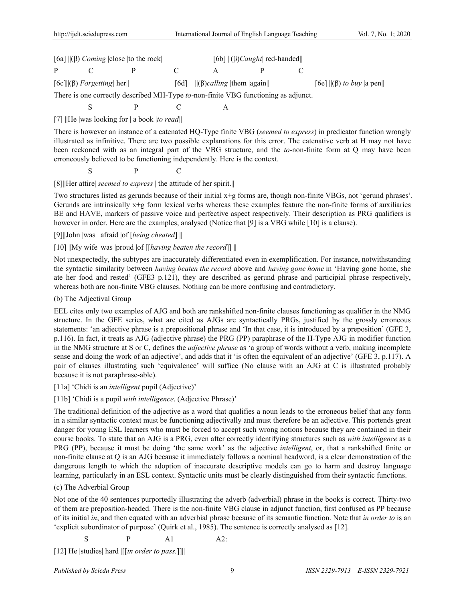| [6a] $\ (\beta)$ <i>Coming</i> $ close $ to the rock $\ $                                                                                                                                                                      |                                   |  |  | [6b] $\ (\beta)$ <i>Caught</i> red-handed      |  |  |                                |
|--------------------------------------------------------------------------------------------------------------------------------------------------------------------------------------------------------------------------------|-----------------------------------|--|--|------------------------------------------------|--|--|--------------------------------|
| p and the property of the set of the set of the set of the set of the set of the set of the set of the set of the set of the set of the set of the set of the set of the set of the set of the set of the set of the set of th |                                   |  |  |                                                |  |  |                                |
|                                                                                                                                                                                                                                | [6c]  ( $\beta$ ) Forgetting  her |  |  | [6d] $\ (\beta)$ <i>calling</i>   them   again |  |  | [6e] $\ (\beta)$ to buy  a pen |

There is one correctly described MH-Type *to*-non-finite VBG functioning as adjunct.

$$
\mathcal{L}_{\mathcal{A}}
$$

S P C A

[7] ||He |was looking for | a book |*to read|*|

There is however an instance of a catenated HQ-Type finite VBG (*seemed to express*) in predicator function wrongly illustrated as infinitive. There are two possible explanations for this error. The catenative verb at H may not have been reckoned with as an integral part of the VBG structure, and the *to*-non-finite form at Q may have been erroneously believed to be functioning independently. Here is the context.

S P C

[8]||Her attire| *seemed to express* | the attitude of her spirit.||

Two structures listed as gerunds because of their initial x+g forms are, though non-finite VBGs, not 'gerund phrases'. Gerunds are intrinsically  $x+g$  form lexical verbs whereas these examples feature the non-finite forms of auxiliaries BE and HAVE, markers of passive voice and perfective aspect respectively. Their description as PRG qualifiers is however in order. Here are the examples, analysed (Notice that [9] is a VBG while [10] is a clause).

[9]||John |was | afraid |of [*being cheated*] ||

## [10] ||My wife |was |proud |of [[*having beaten the record*]] ||

Not unexpectedly, the subtypes are inaccurately differentiated even in exemplification. For instance, notwithstanding the syntactic similarity between *having beaten the record* above and *having gone home* in 'Having gone home, she ate her food and rested' (GFE3 p.121), they are described as gerund phrase and participial phrase respectively, whereas both are non-finite VBG clauses. Nothing can be more confusing and contradictory.

## (b) The Adjectival Group

EEL cites only two examples of AJG and both are rankshifted non-finite clauses functioning as qualifier in the NMG structure. In the GFE series, what are cited as AJGs are syntactically PRGs, justified by the grossly erroneous statements: 'an adjective phrase is a prepositional phrase and 'In that case, it is introduced by a preposition' (GFE 3, p.116). In fact, it treats as AJG (adjective phrase) the PRG (PP) paraphrase of the H-Type AJG in modifier function in the NMG structure at S or C, defines the *adjective phrase* as 'a group of words without a verb, making incomplete sense and doing the work of an adjective', and adds that it 'is often the equivalent of an adjective' (GFE 3, p.117). A pair of clauses illustrating such 'equivalence' will suffice (No clause with an AJG at C is illustrated probably because it is not paraphrase-able).

## [11a] 'Chidi is an *intelligent* pupil (Adjective)'

# [11b] 'Chidi is a pupil *with intelligence*. (Adjective Phrase)'

The traditional definition of the adjective as a word that qualifies a noun leads to the erroneous belief that any form in a similar syntactic context must be functioning adjectivally and must therefore be an adjective. This portends great danger for young ESL learners who must be forced to accept such wrong notions because they are contained in their course books. To state that an AJG is a PRG, even after correctly identifying structures such as *with intelligence* as a PRG (PP), because it must be doing 'the same work' as the adjective *intelligent*, or, that a rankshifted finite or non-finite clause at Q is an AJG because it immediately follows a nominal headword, is a clear demonstration of the dangerous length to which the adoption of inaccurate descriptive models can go to harm and destroy language learning, particularly in an ESL context. Syntactic units must be clearly distinguished from their syntactic functions.

## (c) The Adverbial Group

Not one of the 40 sentences purportedly illustrating the adverb (adverbial) phrase in the books is correct. Thirty-two of them are preposition-headed. There is the non-finite VBG clause in adjunct function, first confused as PP because of its initial *in*, and then equated with an adverbial phrase because of its semantic function. Note that *in order to* is an 'explicit subordinator of purpose' (Quirk et al., 1985). The sentence is correctly analysed as [12].

$$
S \qquad P \qquad A1 \qquad A2:
$$

[12] He |studies| hard |[[*in order to pass.*]]||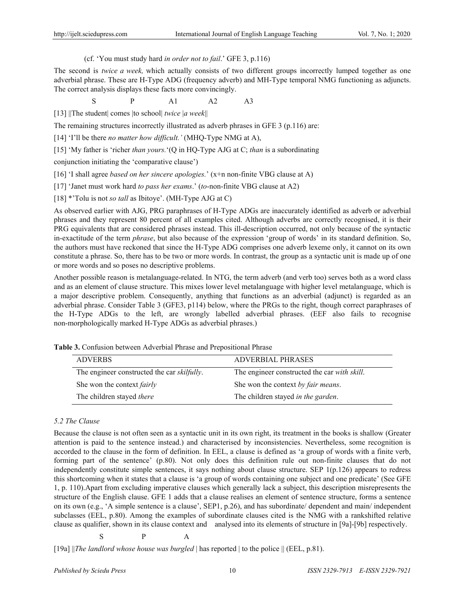## (cf. 'You must study hard *in order not to fail*.' GFE 3, p.116)

The second is *twice a week,* which actually consists of two different groups incorrectly lumped together as one adverbial phrase. These are H-Type ADG (frequency adverb) and MH-Type temporal NMG functioning as adjuncts. The correct analysis displays these facts more convincingly.

 $S$   $P$   $Al$   $A2$   $A3$ 

[13] ||The student| comes |to school| *twice* |*a week*||

The remaining structures incorrectly illustrated as adverb phrases in GFE 3 (p.116) are:

[14] 'I'll be there *no matter how difficult.'* (MHQ-Type NMG at A),

[15] 'My father is 'richer *than yours.*'(Q in HQ-Type AJG at C; *than* is a subordinating

conjunction initiating the 'comparative clause')

[16] 'I shall agree *based on her sincere apologies.*' (x+n non-finite VBG clause at A)

[17] 'Janet must work hard *to pass her exams*.' (*to*-non-finite VBG clause at A2)

[18] \*'Tolu is not *so tall* as Ibitoye'. (MH-Type AJG at C)

As observed earlier with AJG, PRG paraphrases of H-Type ADGs are inaccurately identified as adverb or adverbial phrases and they represent 80 percent of all examples cited. Although adverbs are correctly recognised, it is their PRG equivalents that are considered phrases instead. This ill-description occurred, not only because of the syntactic in-exactitude of the term *phrase*, but also because of the expression 'group of words' in its standard definition. So, the authors must have reckoned that since the H-Type ADG comprises one adverb lexeme only, it cannot on its own constitute a phrase. So, there has to be two or more words. In contrast, the group as a syntactic unit is made up of one or more words and so poses no descriptive problems.

Another possible reason is metalanguage-related. In NTG, the term adverb (and verb too) serves both as a word class and as an element of clause structure. This mixes lower level metalanguage with higher level metalanguage, which is a major descriptive problem. Consequently, anything that functions as an adverbial (adjunct) is regarded as an adverbial phrase. Consider Table 3 (GFE3, p114) below, where the PRGs to the right, though correct paraphrases of the H-Type ADGs to the left, are wrongly labelled adverbial phrases. (EEF also fails to recognise non-morphologically marked H-Type ADGs as adverbial phrases.)

**Table 3.** Confusion between Adverbial Phrase and Prepositional Phrase

| <b>ADVERBS</b>                                      | <b>ADVERBIAL PHRASES</b>                     |
|-----------------------------------------------------|----------------------------------------------|
| The engineer constructed the car <i>skilfully</i> . | The engineer constructed the car with skill. |
| She won the context <i>fairly</i>                   | She won the context by fair means.           |
| The children stayed <i>there</i>                    | The children stayed in the garden.           |

## *5.2 The Clause*

Because the clause is not often seen as a syntactic unit in its own right, its treatment in the books is shallow (Greater attention is paid to the sentence instead.) and characterised by inconsistencies. Nevertheless, some recognition is accorded to the clause in the form of definition. In EEL, a clause is defined as 'a group of words with a finite verb, forming part of the sentence' (p.80). Not only does this definition rule out non-finite clauses that do not independently constitute simple sentences, it says nothing about clause structure. SEP 1(p.126) appears to redress this shortcoming when it states that a clause is 'a group of words containing one subject and one predicate' (See GFE 1, p. 110).Apart from excluding imperative clauses which generally lack a subject, this description misrepresents the structure of the English clause. GFE 1 adds that a clause realises an element of sentence structure, forms a sentence on its own (e.g., 'A simple sentence is a clause', SEP1, p.26), and has subordinate/ dependent and main/ independent subclasses (EEL, p.80). Among the examples of subordinate clauses cited is the NMG with a rankshifted relative clause as qualifier, shown in its clause context and analysed into its elements of structure in [9a]-[9b] respectively.

$$
\begin{array}{ccc}\nS & P & A\n\end{array}
$$

[19a] ||*The landlord whose house was burgled* | has reported | to the police || (EEL, p.81).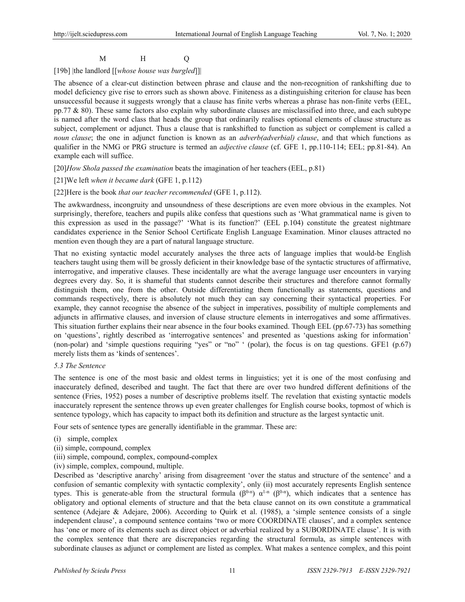# M H Q

## [19b] |the landlord [[*whose house was burgled*]]|

The absence of a clear-cut distinction between phrase and clause and the non-recognition of rankshifting due to model deficiency give rise to errors such as shown above. Finiteness as a distinguishing criterion for clause has been unsuccessful because it suggests wrongly that a clause has finite verbs whereas a phrase has non-finite verbs (EEL, pp.77 & 80). These same factors also explain why subordinate clauses are misclassified into three, and each subtype is named after the word class that heads the group that ordinarily realises optional elements of clause structure as subject, complement or adjunct. Thus a clause that is rankshifted to function as subject or complement is called a *noun clause*; the one in adjunct function is known as an *adverb(adverbial) clause*, and that which functions as qualifier in the NMG or PRG structure is termed an *adjective clause* (cf. GFE 1, pp.110-114; EEL; pp.81-84). An example each will suffice.

[20]*How Shola passed the examination* beats the imagination of her teachers (EEL, p.81)

## [21]We left *when it became dark* (GFE 1, p.112)

#### [22]Here is the book *that our teacher recommended* (GFE 1, p.112).

The awkwardness, incongruity and unsoundness of these descriptions are even more obvious in the examples. Not surprisingly, therefore, teachers and pupils alike confess that questions such as 'What grammatical name is given to this expression as used in the passage?' 'What is its function?' (EEL p.104) constitute the greatest nightmare candidates experience in the Senior School Certificate English Language Examination. Minor clauses attracted no mention even though they are a part of natural language structure.

That no existing syntactic model accurately analyses the three acts of language implies that would-be English teachers taught using them will be grossly deficient in their knowledge base of the syntactic structures of affirmative, interrogative, and imperative clauses. These incidentally are what the average language user encounters in varying degrees every day. So, it is shameful that students cannot describe their structures and therefore cannot formally distinguish them, one from the other. Outside differentiating them functionally as statements, questions and commands respectively, there is absolutely not much they can say concerning their syntactical properties. For example, they cannot recognise the absence of the subject in imperatives, possibility of multiple complements and adjuncts in affirmative clauses, and inversion of clause structure elements in interrogatives and some affirmatives. This situation further explains their near absence in the four books examined. Though EEL (pp.67-73) has something on 'questions', rightly described as 'interrogative sentences' and presented as 'questions asking for information' (non-polar) and 'simple questions requiring "yes" or "no" ' (polar), the focus is on tag questions. GFE1 (p.67) merely lists them as 'kinds of sentences'.

## *5.3 The Sentence*

The sentence is one of the most basic and oldest terms in linguistics; yet it is one of the most confusing and inaccurately defined, described and taught. The fact that there are over two hundred different definitions of the sentence (Fries, 1952) poses a number of descriptive problems itself. The revelation that existing syntactic models inaccurately represent the sentence throws up even greater challenges for English course books, topmost of which is sentence typology, which has capacity to impact both its definition and structure as the largest syntactic unit.

Four sets of sentence types are generally identifiable in the grammar. These are:

- (i) simple, complex
- (ii) simple, compound, complex
- (iii) simple, compound, complex, compound-complex
- (iv) simple, complex, compound, multiple.

Described as 'descriptive anarchy' arising from disagreement 'over the status and structure of the sentence' and a confusion of semantic complexity with syntactic complexity', only (ii) most accurately represents English sentence types. This is generate-able from the structural formula ( $\beta^{0-n}$ ) α<sup>1-n</sup> ( $\beta^{0-n}$ ), which indicates that a sentence has obligatory and optional elements of structure and that the beta clause cannot on its own constitute a grammatical sentence (Adejare & Adejare, 2006). According to Quirk et al. (1985), a 'simple sentence consists of a single independent clause', a compound sentence contains 'two or more COORDINATE clauses', and a complex sentence has 'one or more of its elements such as direct object or adverbial realized by a SUBORDINATE clause'. It is with the complex sentence that there are discrepancies regarding the structural formula, as simple sentences with subordinate clauses as adjunct or complement are listed as complex. What makes a sentence complex, and this point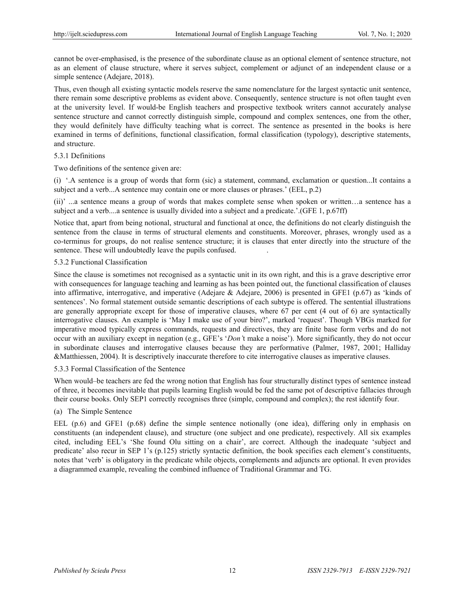cannot be over-emphasised, is the presence of the subordinate clause as an optional element of sentence structure, not as an element of clause structure, where it serves subject, complement or adjunct of an independent clause or a simple sentence (Adejare, 2018).

Thus, even though all existing syntactic models reserve the same nomenclature for the largest syntactic unit sentence, there remain some descriptive problems as evident above. Consequently, sentence structure is not often taught even at the university level. If would-be English teachers and prospective textbook writers cannot accurately analyse sentence structure and cannot correctly distinguish simple, compound and complex sentences, one from the other, they would definitely have difficulty teaching what is correct. The sentence as presented in the books is here examined in terms of definitions, functional classification, formal classification (typology), descriptive statements, and structure.

#### 5.3.1 Definitions

Two definitions of the sentence given are:

(i) '.A sentence is a group of words that form (sic) a statement, command, exclamation or question...It contains a subject and a verb...A sentence may contain one or more clauses or phrases.' (EEL, p.2)

(ii)' ...a sentence means a group of words that makes complete sense when spoken or written…a sentence has a subject and a verb....a sentence is usually divided into a subject and a predicate.'.(GFE 1, p.67ff)

Notice that, apart from being notional, structural and functional at once, the definitions do not clearly distinguish the sentence from the clause in terms of structural elements and constituents. Moreover, phrases, wrongly used as a co-terminus for groups, do not realise sentence structure; it is clauses that enter directly into the structure of the sentence. These will undoubtedly leave the pupils confused. .

## 5.3.2 Functional Classification

Since the clause is sometimes not recognised as a syntactic unit in its own right, and this is a grave descriptive error with consequences for language teaching and learning as has been pointed out, the functional classification of clauses into affirmative, interrogative, and imperative (Adejare & Adejare, 2006) is presented in GFE1 (p.67) as 'kinds of sentences'. No formal statement outside semantic descriptions of each subtype is offered. The sentential illustrations are generally appropriate except for those of imperative clauses, where 67 per cent (4 out of 6) are syntactically interrogative clauses. An example is 'May I make use of your biro?', marked 'request'. Though VBGs marked for imperative mood typically express commands, requests and directives, they are finite base form verbs and do not occur with an auxiliary except in negation (e.g., GFE's '*Don'*t make a noise'). More significantly, they do not occur in subordinate clauses and interrogative clauses because they are performative (Palmer, 1987, 2001; Halliday &Matthiessen, 2004). It is descriptively inaccurate therefore to cite interrogative clauses as imperative clauses.

#### 5.3.3 Formal Classification of the Sentence

When would–be teachers are fed the wrong notion that English has four structurally distinct types of sentence instead of three, it becomes inevitable that pupils learning English would be fed the same pot of descriptive fallacies through their course books. Only SEP1 correctly recognises three (simple, compound and complex); the rest identify four.

## (a) The Simple Sentence

EEL (p.6) and GFE1 (p.68) define the simple sentence notionally (one idea), differing only in emphasis on constituents (an independent clause), and structure (one subject and one predicate), respectively. All six examples cited, including EEL's 'She found Olu sitting on a chair', are correct. Although the inadequate 'subject and predicate' also recur in SEP 1's (p.125) strictly syntactic definition, the book specifies each element's constituents, notes that 'verb' is obligatory in the predicate while objects, complements and adjuncts are optional. It even provides a diagrammed example, revealing the combined influence of Traditional Grammar and TG.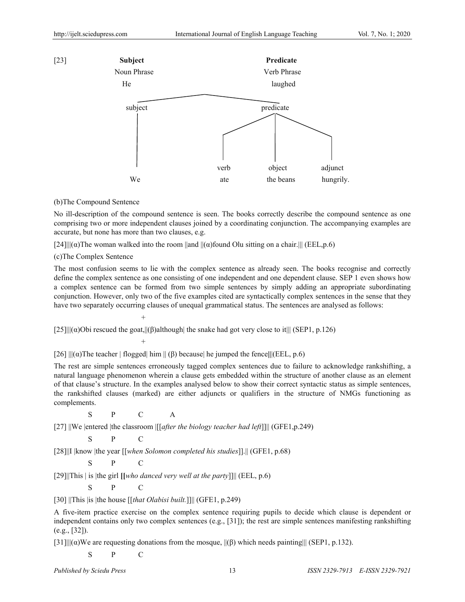

#### (b)The Compound Sentence

No ill-description of the compound sentence is seen. The books correctly describe the compound sentence as one comprising two or more independent clauses joined by a coordinating conjunction. The accompanying examples are accurate, but none has more than two clauses, e.g.

[24]|| $\alpha$ )The woman walked into the room  $\|\text{and } \|(\alpha)$  found Olu sitting on a chair.||| (EEL,p.6)

(c)The Complex Sentence

 $+$ 

 $+$ 

The most confusion seems to lie with the complex sentence as already seen. The books recognise and correctly define the complex sentence as one consisting of one independent and one dependent clause. SEP 1 even shows how a complex sentence can be formed from two simple sentences by simply adding an appropriate subordinating conjunction. However, only two of the five examples cited are syntactically complex sentences in the sense that they have two separately occurring clauses of unequal grammatical status. The sentences are analysed as follows:

[25]|| $\|\alpha\|$ Obi rescued the goat,|| $\|\beta\|$ although| the snake had got very close to it||| (SEP1, p.126)

[26] |||(α)The teacher | flogged| him || (β) because| he jumped the fence**||**|(EEL, p.6)

The rest are simple sentences erroneously tagged complex sentences due to failure to acknowledge rankshifting, a natural language phenomenon wherein a clause gets embedded within the structure of another clause as an element of that clause's structure. In the examples analysed below to show their correct syntactic status as simple sentences, the rankshifted clauses (marked) are either adjuncts or qualifiers in the structure of NMGs functioning as complements.

S P C A

[27] ||We |entered |the classroom |[[*after the biology teacher had left*]]|| (GFE1,p.249)

$$
\begin{array}{ccc}\nS & P & C\n\end{array}
$$

[28]||I |know |the year [[*when Solomon completed his studies*]].|| (GFE1, p.68)

$$
S
$$
  $P$   $C$ 

[29]||This | is |the girl **[[***who danced very well at the party*]]|| (EEL, p.6)

$$
S
$$
  $P$   $C$ 

[30] ||This |is |the house [[*that Olabisi built.*]]|| (GFE1, p.249)

A five-item practice exercise on the complex sentence requiring pupils to decide which clause is dependent or independent contains only two complex sentences (e.g., [31]); the rest are simple sentences manifesting rankshifting (e.g., [32]).

 $[31]$ || $(α)$ We are requesting donations from the mosque,  $| (β)$  which needs painting||| (SEP1, p.132).

S P C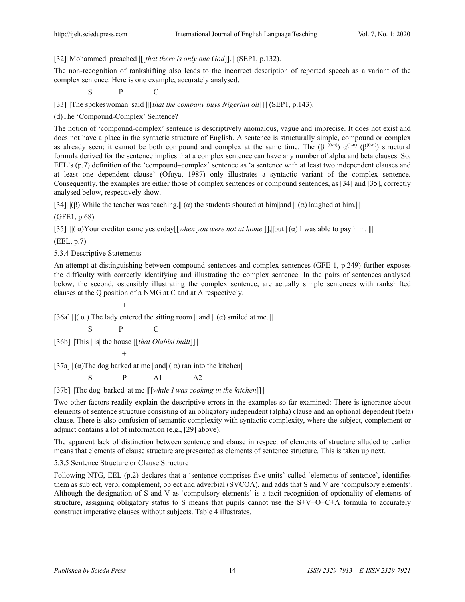[32]||Mohammed |preached |[[*that there is only one God*]].|| (SEP1, p.132).

The non-recognition of rankshifting also leads to the incorrect description of reported speech as a variant of the complex sentence. Here is one example, accurately analysed.

S P C

[33] ||The spokeswoman |said |[[*that the company buys Nigerian oil*]]|| (SEP1, p.143).

(d)The 'Compound-Complex' Sentence?

The notion of 'compound-complex' sentence is descriptively anomalous, vague and imprecise. It does not exist and does not have a place in the syntactic structure of English. A sentence is structurally simple, compound or complex as already seen; it cannot be both compound and complex at the same time. The ( $\beta^{(0-n)}$ )  $\alpha^{(1-n)}$  ( $\beta^{(0-n)}$ ) structural formula derived for the sentence implies that a complex sentence can have any number of alpha and beta clauses. So, EEL's (p.7) definition of the 'compound–complex' sentence as 'a sentence with at least two independent clauses and at least one dependent clause' (Ofuya, 1987) only illustrates a syntactic variant of the complex sentence. Consequently, the examples are either those of complex sentences or compound sentences, as [34] and [35], correctly analysed below, respectively show.

[34]||(β) While the teacher was teaching,|| ( $\alpha$ ) the students shouted at him||and || ( $\alpha$ ) laughed at him.|||

(GFE1, p.68)

[35] |||( α)Your creditor came yesterday[[*when you were not at home* ]],||but ||(α) I was able to pay him. |||

(EEL, p.7)

5.3.4 Descriptive Statements

*+* +  $\frac{1}{2}$  +  $\frac{1}{2}$  +  $\frac{1}{2}$  +  $\frac{1}{2}$ 

An attempt at distinguishing between compound sentences and complex sentences (GFE 1, p.249) further exposes the difficulty with correctly identifying and illustrating the complex sentence. In the pairs of sentences analysed below, the second, ostensibly illustrating the complex sentence, are actually simple sentences with rankshifted clauses at the Q position of a NMG at C and at A respectively.

[36a]  $\|$ ( $\alpha$ ) The lady entered the sitting room  $\|$  and  $\|$  ( $\alpha$ ) smiled at me.

S P C

[36b] ||This | is| the house [[*that Olabisi built*]]||

 $+$ 

[37a]  $\|(\alpha)$ The dog barked at me  $\|$ and $\|(\alpha)$  ran into the kitchen $\|$ 

 $S$  P A1 A2

[37b] ||The dog| barked |at me |[[*while I was cooking in the kitchen*]]||

Two other factors readily explain the descriptive errors in the examples so far examined: There is ignorance about elements of sentence structure consisting of an obligatory independent (alpha) clause and an optional dependent (beta) clause. There is also confusion of semantic complexity with syntactic complexity, where the subject, complement or adjunct contains a lot of information (e.g., [29] above).

The apparent lack of distinction between sentence and clause in respect of elements of structure alluded to earlier means that elements of clause structure are presented as elements of sentence structure. This is taken up next.

5.3.5 Sentence Structure or Clause Structure

Following NTG, EEL (p.2) declares that a 'sentence comprises five units' called 'elements of sentence', identifies them as subject, verb, complement, object and adverbial (SVCOA), and adds that S and V are 'compulsory elements'. Although the designation of S and V as 'compulsory elements' is a tacit recognition of optionality of elements of structure, assigning obligatory status to S means that pupils cannot use the S+V+O+C+A formula to accurately construct imperative clauses without subjects. Table 4 illustrates.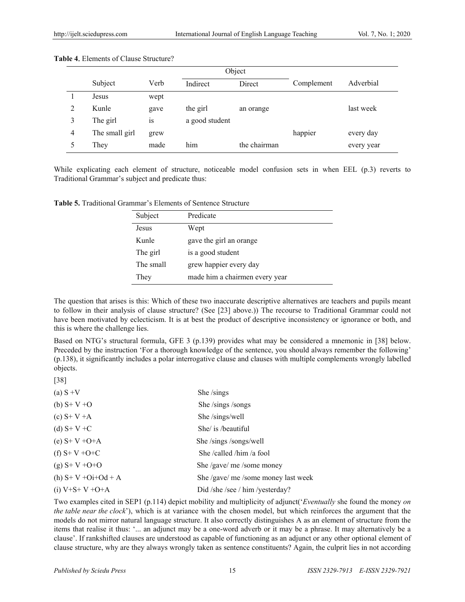| Object |                |      |                |              |            |            |
|--------|----------------|------|----------------|--------------|------------|------------|
|        | Subject        | Verb | Indirect       | Direct       | Complement | Adverbial  |
|        | Jesus          | wept |                |              |            |            |
| 2      | Kunle          | gave | the girl       | an orange    |            | last week  |
| 3      | The girl       | 1S   | a good student |              |            |            |
| 4      | The small girl | grew |                |              | happier    | every day  |
|        | They           | made | him            | the chairman |            | every year |

#### **Table 4**.Elements of Clause Structure?

While explicating each element of structure, noticeable model confusion sets in when EEL (p.3) reverts to Traditional Grammar's subject and predicate thus:

**Table 5.** Traditional Grammar's Elements of Sentence Structure

| Subject   | Predicate                      |
|-----------|--------------------------------|
| Jesus     | Wept                           |
| Kunle     | gave the girl an orange        |
| The girl  | is a good student              |
| The small | grew happier every day         |
| They      | made him a chairmen every year |

The question that arises is this: Which of these two inaccurate descriptive alternatives are teachers and pupils meant to follow in their analysis of clause structure? (See [23] above.)) The recourse to Traditional Grammar could not have been motivated by eclecticism. It is at best the product of descriptive inconsistency or ignorance or both, and this is where the challenge lies.

Based on NTG's structural formula, GFE 3 (p.139) provides what may be considered a mnemonic in [38] below. Preceded by the instruction 'For a thorough knowledge of the sentence, you should always remember the following' (p.138), it significantly includes a polar interrogative clause and clauses with multiple complements wrongly labelled objects.

| (a) $S + V$       | She/sings                           |
|-------------------|-------------------------------------|
| (b) $S + V + O$   | She /sings /songs                   |
| (c) $S+V+A$       | She /sings/well                     |
| (d) $S+V+C$       | She/ is /beautiful                  |
| (e) $S+V+O+A$     | She /sings /songs/well              |
| (f) $S+V+O+C$     | She /called /him /a fool            |
| $(g) S+V+O+O$     | She /gave/ me /some money           |
| (h) $S+V+Oi+Od+A$ | She /gave/ me /some money last week |
| (i) $V+S+V+O+A$   | Did /she /see / him /yesterday?     |

Two examples cited in SEP1 (p.114) depict mobility and multiplicity of adjunct('*Eventually* she found the money *on the table near the clock*'), which is at variance with the chosen model, but which reinforces the argument that the models do not mirror natural language structure. It also correctly distinguishes A as an element of structure from the items that realise it thus: '... an adjunct may be a one-word adverb or it may be a phrase. It may alternatively be a clause'. If rankshifted clauses are understood as capable of functioning as an adjunct or any other optional element of clause structure, why are they always wrongly taken as sentence constituents? Again, the culprit lies in not according

[38]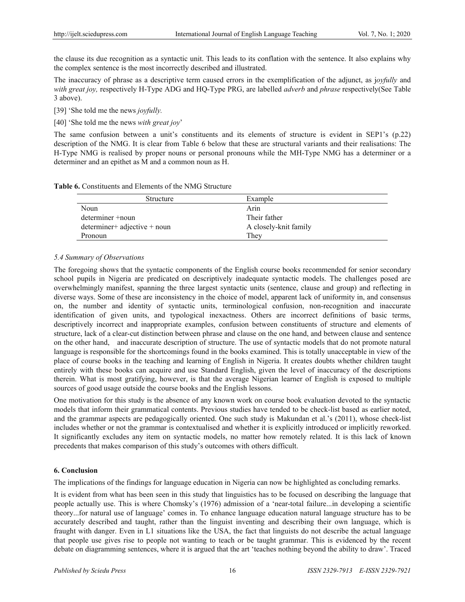the clause its due recognition as a syntactic unit. This leads to its conflation with the sentence. It also explains why the complex sentence is the most incorrectly described and illustrated.

The inaccuracy of phrase as a descriptive term caused errors in the exemplification of the adjunct, as j*oyfully* and *with great joy,* respectively H-Type ADG and HQ-Type PRG, are labelled *adverb* and *phrase* respectively(See Table 3 above).

[39] 'She told me the news *joyfully.* 

[40] 'She told me the news *with great joy*'

The same confusion between a unit's constituents and its elements of structure is evident in SEP1's (p.22) description of the NMG. It is clear from Table 6 below that these are structural variants and their realisations: The H-Type NMG is realised by proper nouns or personal pronouns while the MH-Type NMG has a determiner or a determiner and an epithet as M and a common noun as H.

| <b>Table 6.</b> Constituents and Elements of the NMG Structure |
|----------------------------------------------------------------|
|----------------------------------------------------------------|

| Structure                    | Example               |  |
|------------------------------|-----------------------|--|
| Noun                         | Arin                  |  |
| determiner +noun             | Their father          |  |
| determiner+ adjective + noun | A closely-knit family |  |
| Pronoun                      | They                  |  |

## *5.4 Summary of Observations*

The foregoing shows that the syntactic components of the English course books recommended for senior secondary school pupils in Nigeria are predicated on descriptively inadequate syntactic models. The challenges posed are overwhelmingly manifest, spanning the three largest syntactic units (sentence, clause and group) and reflecting in diverse ways. Some of these are inconsistency in the choice of model, apparent lack of uniformity in, and consensus on, the number and identity of syntactic units, terminological confusion, non-recognition and inaccurate identification of given units, and typological inexactness. Others are incorrect definitions of basic terms, descriptively incorrect and inappropriate examples, confusion between constituents of structure and elements of structure, lack of a clear-cut distinction between phrase and clause on the one hand, and between clause and sentence on the other hand, and inaccurate description of structure. The use of syntactic models that do not promote natural language is responsible for the shortcomings found in the books examined. This is totally unacceptable in view of the place of course books in the teaching and learning of English in Nigeria. It creates doubts whether children taught entirely with these books can acquire and use Standard English, given the level of inaccuracy of the descriptions therein. What is most gratifying, however, is that the average Nigerian learner of English is exposed to multiple sources of good usage outside the course books and the English lessons.

One motivation for this study is the absence of any known work on course book evaluation devoted to the syntactic models that inform their grammatical contents. Previous studies have tended to be check-list based as earlier noted, and the grammar aspects are pedagogically oriented. One such study is Makundan et al.'s (2011), whose check-list includes whether or not the grammar is contextualised and whether it is explicitly introduced or implicitly reworked. It significantly excludes any item on syntactic models, no matter how remotely related. It is this lack of known precedents that makes comparison of this study's outcomes with others difficult.

## **6. Conclusion**

The implications of the findings for language education in Nigeria can now be highlighted as concluding remarks.

It is evident from what has been seen in this study that linguistics has to be focused on describing the language that people actually use. This is where Chomsky's (1976) admission of a 'near-total failure...in developing a scientific theory...for natural use of language' comes in. To enhance language education natural language structure has to be accurately described and taught, rather than the linguist inventing and describing their own language, which is fraught with danger. Even in L1 situations like the USA, the fact that linguists do not describe the actual language that people use gives rise to people not wanting to teach or be taught grammar. This is evidenced by the recent debate on diagramming sentences, where it is argued that the art 'teaches nothing beyond the ability to draw'. Traced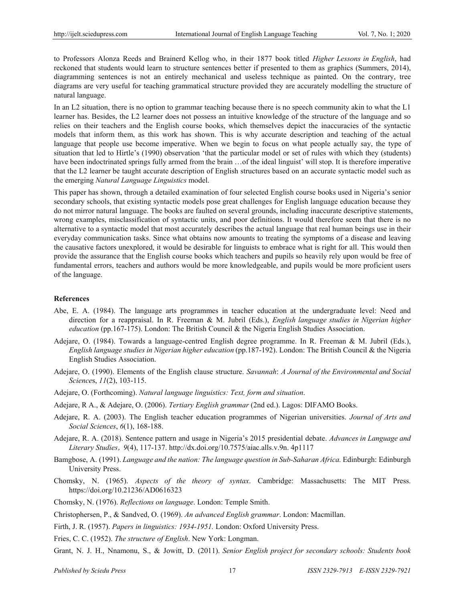to Professors Alonza Reeds and Brainerd Kellog who, in their 1877 book titled *Higher Lessons in English*, had reckoned that students would learn to structure sentences better if presented to them as graphics (Summers, 2014), diagramming sentences is not an entirely mechanical and useless technique as painted. On the contrary, tree diagrams are very useful for teaching grammatical structure provided they are accurately modelling the structure of natural language.

In an L2 situation, there is no option to grammar teaching because there is no speech community akin to what the L1 learner has. Besides, the L2 learner does not possess an intuitive knowledge of the structure of the language and so relies on their teachers and the English course books, which themselves depict the inaccuracies of the syntactic models that inform them, as this work has shown. This is why accurate description and teaching of the actual language that people use become imperative. When we begin to focus on what people actually say, the type of situation that led to Hirtle's (1990) observation 'that the particular model or set of rules with which they (students) have been indoctrinated springs fully armed from the brain ... of the ideal linguist' will stop. It is therefore imperative that the L2 learner be taught accurate description of English structures based on an accurate syntactic model such as the emerging *Natural Language Linguistics* model.

This paper has shown, through a detailed examination of four selected English course books used in Nigeria's senior secondary schools, that existing syntactic models pose great challenges for English language education because they do not mirror natural language. The books are faulted on several grounds, including inaccurate descriptive statements, wrong examples, misclassification of syntactic units, and poor definitions. It would therefore seem that there is no alternative to a syntactic model that most accurately describes the actual language that real human beings use in their everyday communication tasks. Since what obtains now amounts to treating the symptoms of a disease and leaving the causative factors unexplored, it would be desirable for linguists to embrace what is right for all. This would then provide the assurance that the English course books which teachers and pupils so heavily rely upon would be free of fundamental errors, teachers and authors would be more knowledgeable, and pupils would be more proficient users of the language.

#### **References**

- Abe, E. A. (1984). The language arts programmes in teacher education at the undergraduate level: Need and direction for a reappraisal. In R. Freeman & M. Jubril (Eds.), *English language studies in Nigerian higher education* (pp.167-175). London: The British Council & the Nigeria English Studies Association.
- Adejare, O. (1984). Towards a language-centred English degree programme. In R. Freeman & M. Jubril (Eds.), *English language studies in Nigerian higher education* (pp.187-192). London: The British Council & the Nigeria English Studies Association.
- Adejare, O. (1990). Elements of the English clause structure. *Savannah*: *A Journal of the Environmental and Social Science*s, *11*(2), 103-115.
- Adejare, O. (Forthcoming). *Natural language linguistics: Text, form and situation*.
- Adejare, R A., & Adejare, O. (2006). *Tertiary English grammar* (2nd ed.). Lagos: DIFAMO Books.
- Adejare, R. A. (2003). The English teacher education programmes of Nigerian universities. *Journal of Arts and Social Sciences*, *6*(1), 168-188.
- Adejare, R. A. (2018). Sentence pattern and usage in Nigeria's 2015 presidential debate. *Advances in Language and Literary Studies*, *9*(4), 117-137. http://dx.doi.org/10.7575/aiac.alls.v.9n. 4p1117
- Bamgbose, A. (1991). *Language and the nation: The language question in Sub-Saharan Africa.* Edinburgh: Edinburgh University Press.
- Chomsky, N. (1965). *Aspects of the theory of syntax*. Cambridge: Massachusetts: The MIT Press. https://doi.org/10.21236/AD0616323
- Chomsky, N. (1976). *Reflections on language*. London: Temple Smith.
- Christophersen, P., & Sandved, O. (1969). *An advanced English grammar*. London: Macmillan.
- Firth, J. R. (1957). *Papers in linguistics: 1934-1951.* London: Oxford University Press.
- Fries, C. C. (1952). *The structure of English*. New York: Longman.
- Grant, N. J. H., Nnamonu, S., & Jowitt, D. (2011). *Senior English project for secondary schools: Students book*